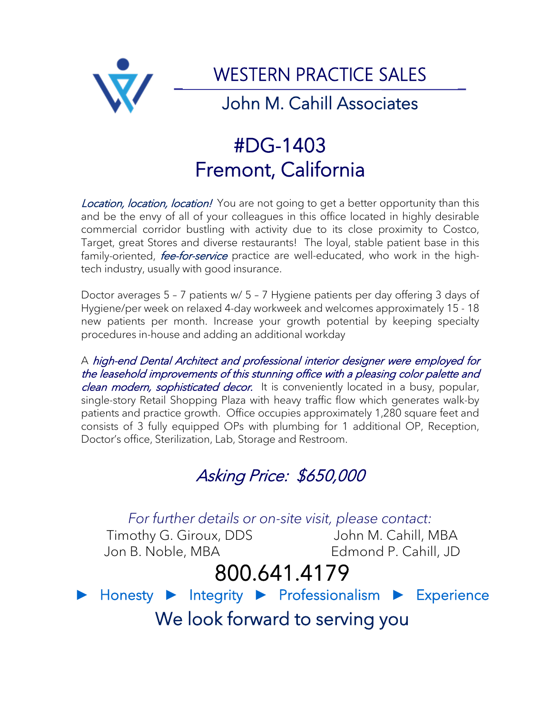

## #DG-1403 Fremont, California

Location, location, location! You are not going to get a better opportunity than this and be the envy of all of your colleagues in this office located in highly desirable commercial corridor bustling with activity due to its close proximity to Costco, Target, great Stores and diverse restaurants! The loyal, stable patient base in this family-oriented, *fee-for-service* practice are well-educated, who work in the hightech industry, usually with good insurance.

Doctor averages 5 – 7 patients w/ 5 – 7 Hygiene patients per day offering 3 days of Hygiene/per week on relaxed 4-day workweek and welcomes approximately 15 - 18 new patients per month. Increase your growth potential by keeping specialty procedures in-house and adding an additional workday

A high-end Dental Architect and professional interior designer were employed for the leasehold improvements of this stunning office with a pleasing color palette and clean modern, sophisticated decor. It is conveniently located in a busy, popular, single-story Retail Shopping Plaza with heavy traffic flow which generates walk-by patients and practice growth. Office occupies approximately 1,280 square feet and consists of 3 fully equipped OPs with plumbing for 1 additional OP, Reception, Doctor's office, Sterilization, Lab, Storage and Restroom.

### Asking Price: \$650,000

*For further details or on-site visit, please contact:*

Timothy G. Giroux, DDS John M. Cahill, MBA Jon B. Noble, MBA Edmond P. Cahill, JD

# 800.641.4179

► Honesty ► Integrity ► Professionalism ► Experience

We look forward to serving you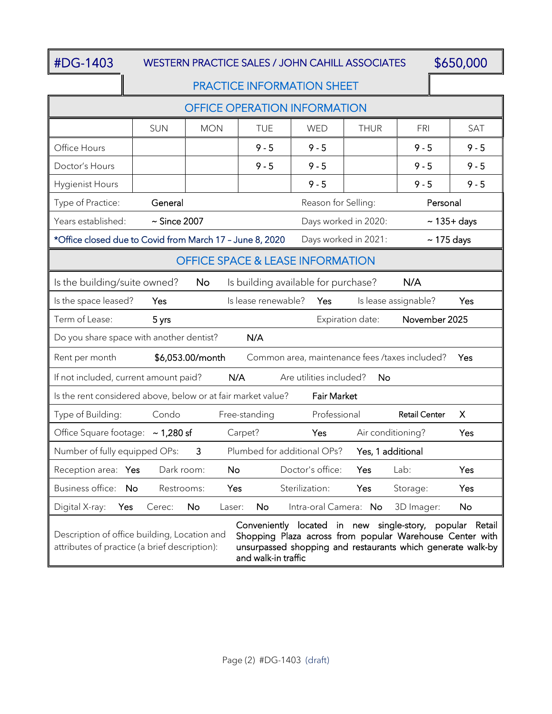#### #DG-1403 WESTERN PRACTICE SALES / JOHN CAHILL ASSOCIATES \$650,000

#### PRACTICE INFORMATION SHEET

| <b>OFFICE OPERATION INFORMATION</b>                                                                                                                                                                                                                                                                         |                   |                     |                     |                       |                      |                      |                  |
|-------------------------------------------------------------------------------------------------------------------------------------------------------------------------------------------------------------------------------------------------------------------------------------------------------------|-------------------|---------------------|---------------------|-----------------------|----------------------|----------------------|------------------|
|                                                                                                                                                                                                                                                                                                             | <b>SUN</b>        | <b>MON</b>          | <b>TUE</b>          | <b>WED</b>            | <b>THUR</b>          | FRI                  | <b>SAT</b>       |
| Office Hours                                                                                                                                                                                                                                                                                                |                   |                     | $9 - 5$             | $9 - 5$               |                      | $9 - 5$              | $9 - 5$          |
| Doctor's Hours                                                                                                                                                                                                                                                                                              |                   |                     | $9 - 5$             | $9 - 5$               |                      | $9 - 5$              | $9 - 5$          |
| <b>Hygienist Hours</b>                                                                                                                                                                                                                                                                                      |                   |                     |                     | $9 - 5$               |                      | $9 - 5$              | $9 - 5$          |
| Type of Practice:<br>Reason for Selling:<br>Personal<br>General                                                                                                                                                                                                                                             |                   |                     |                     |                       |                      |                      |                  |
| Years established:                                                                                                                                                                                                                                                                                          | $\sim$ Since 2007 |                     |                     |                       | Days worked in 2020: |                      | $\sim$ 135+ days |
| *Office closed due to Covid from March 17 - June 8, 2020<br>Days worked in 2021:<br>$\sim$ 175 days                                                                                                                                                                                                         |                   |                     |                     |                       |                      |                      |                  |
| <b>OFFICE SPACE &amp; LEASE INFORMATION</b>                                                                                                                                                                                                                                                                 |                   |                     |                     |                       |                      |                      |                  |
| Is the building/suite owned?<br><b>No</b><br>Is building available for purchase?<br>N/A                                                                                                                                                                                                                     |                   |                     |                     |                       |                      |                      |                  |
| Is the space leased?                                                                                                                                                                                                                                                                                        | Yes               |                     | Is lease renewable? | Yes                   |                      | Is lease assignable? | Yes              |
| Term of Lease:<br>Expiration date:<br>November 2025<br>5 yrs                                                                                                                                                                                                                                                |                   |                     |                     |                       |                      |                      |                  |
| N/A<br>Do you share space with another dentist?                                                                                                                                                                                                                                                             |                   |                     |                     |                       |                      |                      |                  |
| \$6,053.00/month<br>Rent per month<br>Common area, maintenance fees /taxes included?<br>Yes                                                                                                                                                                                                                 |                   |                     |                     |                       |                      |                      |                  |
| N/A<br>If not included, current amount paid?<br>Are utilities included?<br>No                                                                                                                                                                                                                               |                   |                     |                     |                       |                      |                      |                  |
| Is the rent considered above, below or at fair market value?<br><b>Fair Market</b>                                                                                                                                                                                                                          |                   |                     |                     |                       |                      |                      |                  |
| Type of Building:                                                                                                                                                                                                                                                                                           | Condo             |                     | Free-standing       | Professional          |                      | <b>Retail Center</b> | X                |
| Office Square footage: ~ 1,280 sf                                                                                                                                                                                                                                                                           |                   |                     | Carpet?             | Yes                   | Air conditioning?    |                      | Yes              |
| Plumbed for additional OPs?<br>Number of fully equipped OPs:<br>$\mathbf{3}$<br>Yes, 1 additional                                                                                                                                                                                                           |                   |                     |                     |                       |                      |                      |                  |
| Reception area: Yes                                                                                                                                                                                                                                                                                         | Dark room:        | <b>No</b>           |                     | Doctor's office:      | Yes                  | Lab:                 | Yes              |
| Business office: No                                                                                                                                                                                                                                                                                         | Restrooms:        | Yes                 |                     | Sterilization:        | Yes                  | Storage:             | Yes              |
| Digital X-ray:<br>Yes                                                                                                                                                                                                                                                                                       | Cerec:            | <b>No</b><br>Laser: | <b>No</b>           | Intra-oral Camera: No |                      | 3D Imager:           | No               |
| Conveniently located in new single-story, popular Retail<br>Description of office building, Location and<br>Shopping Plaza across from popular Warehouse Center with<br>attributes of practice (a brief description):<br>unsurpassed shopping and restaurants which generate walk-by<br>and walk-in traffic |                   |                     |                     |                       |                      |                      |                  |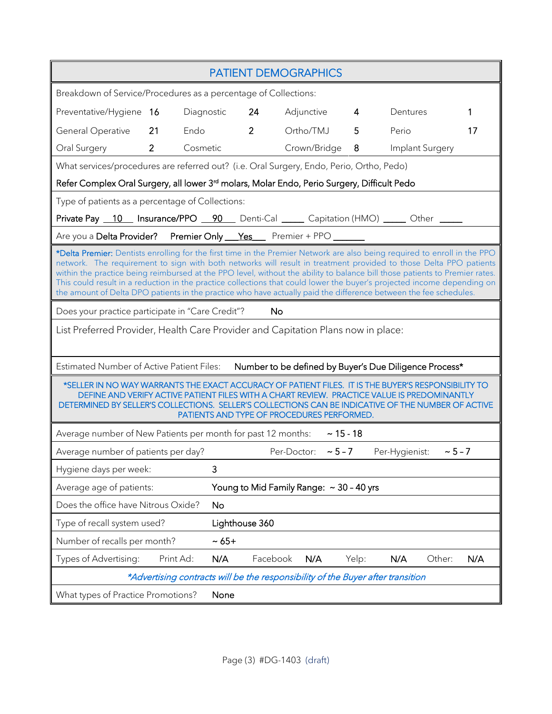|                                                                                                                                                                                                                                                                                                                                                                                                                                                                                                                                                                                                                               | <b>PATIENT DEMOGRAPHICS</b> |                |                          |                |                             |               |  |
|-------------------------------------------------------------------------------------------------------------------------------------------------------------------------------------------------------------------------------------------------------------------------------------------------------------------------------------------------------------------------------------------------------------------------------------------------------------------------------------------------------------------------------------------------------------------------------------------------------------------------------|-----------------------------|----------------|--------------------------|----------------|-----------------------------|---------------|--|
| Breakdown of Service/Procedures as a percentage of Collections:                                                                                                                                                                                                                                                                                                                                                                                                                                                                                                                                                               |                             |                |                          |                |                             |               |  |
| Preventative/Hygiene 16                                                                                                                                                                                                                                                                                                                                                                                                                                                                                                                                                                                                       | Diagnostic                  | 24             | Adjunctive               | $\overline{4}$ | Dentures                    | 1             |  |
| <b>General Operative</b><br>21<br>Endo                                                                                                                                                                                                                                                                                                                                                                                                                                                                                                                                                                                        |                             | 2 <sup>1</sup> | Ortho/TMJ                | 5              | Perio                       | 17            |  |
| $2^{\circ}$<br>Cosmetic<br>Oral Surgery                                                                                                                                                                                                                                                                                                                                                                                                                                                                                                                                                                                       |                             |                | Crown/Bridge             | 8              | Implant Surgery             |               |  |
| What services/procedures are referred out? (i.e. Oral Surgery, Endo, Perio, Ortho, Pedo)                                                                                                                                                                                                                                                                                                                                                                                                                                                                                                                                      |                             |                |                          |                |                             |               |  |
| Refer Complex Oral Surgery, all lower 3 <sup>rd</sup> molars, Molar Endo, Perio Surgery, Difficult Pedo                                                                                                                                                                                                                                                                                                                                                                                                                                                                                                                       |                             |                |                          |                |                             |               |  |
| Type of patients as a percentage of Collections:                                                                                                                                                                                                                                                                                                                                                                                                                                                                                                                                                                              |                             |                |                          |                |                             |               |  |
| Private Pay 10 Insurance/PPO 90 Denti-Cal _____ Capitation (HMO) _____ Other ____                                                                                                                                                                                                                                                                                                                                                                                                                                                                                                                                             |                             |                |                          |                |                             |               |  |
| Are you a Delta Provider? Premier Only <u>Yes</u> Premier + PPO _______                                                                                                                                                                                                                                                                                                                                                                                                                                                                                                                                                       |                             |                |                          |                |                             |               |  |
| *Delta Premier: Dentists enrolling for the first time in the Premier Network are also being required to enroll in the PPO<br>network. The requirement to sign with both networks will result in treatment provided to those Delta PPO patients<br>within the practice being reimbursed at the PPO level, without the ability to balance bill those patients to Premier rates.<br>This could result in a reduction in the practice collections that could lower the buyer's projected income depending on<br>the amount of Delta DPO patients in the practice who have actually paid the difference between the fee schedules. |                             |                |                          |                |                             |               |  |
| Does your practice participate in "Care Credit"?<br>No                                                                                                                                                                                                                                                                                                                                                                                                                                                                                                                                                                        |                             |                |                          |                |                             |               |  |
| List Preferred Provider, Health Care Provider and Capitation Plans now in place:                                                                                                                                                                                                                                                                                                                                                                                                                                                                                                                                              |                             |                |                          |                |                             |               |  |
| Estimated Number of Active Patient Files: Number to be defined by Buyer's Due Diligence Process*                                                                                                                                                                                                                                                                                                                                                                                                                                                                                                                              |                             |                |                          |                |                             |               |  |
| *SELLER IN NO WAY WARRANTS THE EXACT ACCURACY OF PATIENT FILES. IT IS THE BUYER'S RESPONSIBILITY TO<br>DEFINE AND VERIFY ACTIVE PATIENT FILES WITH A CHART REVIEW. PRACTICE VALUE IS PREDOMINANTLY<br>DETERMINED BY SELLER'S COLLECTIONS. SELLER'S COLLECTIONS CAN BE INDICATIVE OF THE NUMBER OF ACTIVE<br>PATIENTS AND TYPE OF PROCEDURES PERFORMED.                                                                                                                                                                                                                                                                        |                             |                |                          |                |                             |               |  |
| Average number of New Patients per month for past 12 months: $\sim 15 - 18$                                                                                                                                                                                                                                                                                                                                                                                                                                                                                                                                                   |                             |                |                          |                |                             |               |  |
| Average number of patients per day?                                                                                                                                                                                                                                                                                                                                                                                                                                                                                                                                                                                           |                             |                | Per-Doctor: $\sim$ 5 - 7 |                | Per-Hygienist: $\sim$ 5 - 7 |               |  |
| Hygiene days per week:                                                                                                                                                                                                                                                                                                                                                                                                                                                                                                                                                                                                        | 3                           |                |                          |                |                             |               |  |
| Young to Mid Family Range: ~ 30 - 40 yrs<br>Average age of patients:                                                                                                                                                                                                                                                                                                                                                                                                                                                                                                                                                          |                             |                |                          |                |                             |               |  |
| Does the office have Nitrous Oxide?<br><b>No</b>                                                                                                                                                                                                                                                                                                                                                                                                                                                                                                                                                                              |                             |                |                          |                |                             |               |  |
| Type of recall system used?                                                                                                                                                                                                                                                                                                                                                                                                                                                                                                                                                                                                   | Lighthouse 360              |                |                          |                |                             |               |  |
| Number of recalls per month?                                                                                                                                                                                                                                                                                                                                                                                                                                                                                                                                                                                                  | $~1$ - 65 +                 |                |                          |                |                             |               |  |
| Types of Advertising:<br>Print Ad:                                                                                                                                                                                                                                                                                                                                                                                                                                                                                                                                                                                            | N/A                         | Facebook       | N/A                      | Yelp:          | N/A                         | N/A<br>Other: |  |
| *Advertising contracts will be the responsibility of the Buyer after transition                                                                                                                                                                                                                                                                                                                                                                                                                                                                                                                                               |                             |                |                          |                |                             |               |  |
| What types of Practice Promotions?<br>None                                                                                                                                                                                                                                                                                                                                                                                                                                                                                                                                                                                    |                             |                |                          |                |                             |               |  |